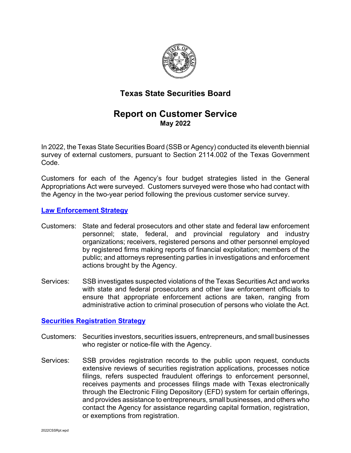

# **Texas State Securities Board**

# **Report on Customer Service May 2022**

In 2022, the Texas State Securities Board (SSB or Agency) conducted its eleventh biennial survey of external customers, pursuant to Section 2114.002 of the Texas Government Code.

Customers for each of the Agency's four budget strategies listed in the General Appropriations Act were surveyed. Customers surveyed were those who had contact with the Agency in the two-year period following the previous customer service survey.

### **[Law Enforcement Strategy](https://www.ssb.texas.gov/securities-professionals/enforcement)**

- Customers: State and federal prosecutors and other state and federal law enforcement personnel; state, federal, and provincial regulatory and industry organizations; receivers, registered persons and other personnel employed by registered firms making reports of financial exploitation; members of the public; and attorneys representing parties in investigations and enforcement actions brought by the Agency.
- Services: SSB investigates suspected violations of the Texas Securities Act and works with state and federal prosecutors and other law enforcement officials to ensure that appropriate enforcement actions are taken, ranging from administrative action to criminal prosecution of persons who violate the Act.

#### **[Securities Registration Strategy](https://www.ssb.texas.gov/securities-professionals/regulation-securities)**

- Customers: Securities investors, securities issuers, entrepreneurs, and small businesses who register or notice-file with the Agency.
- Services: SSB provides registration records to the public upon request, conducts extensive reviews of securities registration applications, processes notice filings, refers suspected fraudulent offerings to enforcement personnel, receives payments and processes filings made with Texas electronically through the Electronic Filing Depository (EFD) system for certain offerings, and provides assistance to entrepreneurs, small businesses, and others who contact the Agency for assistance regarding capital formation, registration, or exemptions from registration.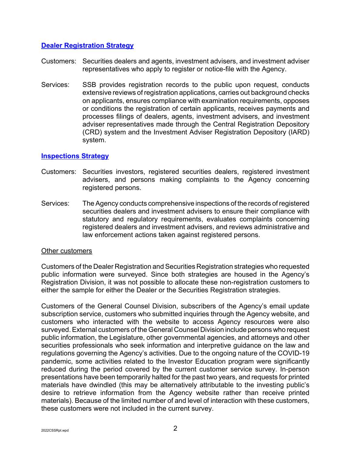### **[Dealer Registration Strategy](https://www.ssb.texas.gov/securities-professionals/dealer-adviser-registration)**

- Customers: Securities dealers and agents, investment advisers, and investment adviser representatives who apply to register or notice-file with the Agency.
- Services: SSB provides registration records to the public upon request, conducts extensive reviews of registration applications, carries out background checks on applicants, ensures compliance with examination requirements, opposes or conditions the registration of certain applicants, receives payments and processes filings of dealers, agents, investment advisers, and investment adviser representatives made through the Central Registration Depository (CRD) system and the Investment Adviser Registration Depository (IARD) system.

### **[Inspections Strategy](https://www.ssb.texas.gov/securities-professionals/inspections-compliance)**

- Customers: Securities investors, registered securities dealers, registered investment advisers, and persons making complaints to the Agency concerning registered persons.
- Services: The Agency conducts comprehensive inspections of the records of registered securities dealers and investment advisers to ensure their compliance with statutory and regulatory requirements, evaluates complaints concerning registered dealers and investment advisers, and reviews administrative and law enforcement actions taken against registered persons.

#### Other customers

Customers of the Dealer Registration and Securities Registration strategies who requested public information were surveyed. Since both strategies are housed in the Agency's Registration Division, it was not possible to allocate these non-registration customers to either the sample for either the Dealer or the Securities Registration strategies.

Customers of the General Counsel Division, subscribers of the Agency's email update subscription service, customers who submitted inquiries through the Agency website, and customers who interacted with the website to access Agency resources were also surveyed. External customers of the General Counsel Division include persons who request public information, the Legislature, other governmental agencies, and attorneys and other securities professionals who seek information and interpretive guidance on the law and regulations governing the Agency's activities. Due to the ongoing nature of the COVID-19 pandemic, some activities related to the Investor Education program were significantly reduced during the period covered by the current customer service survey. In-person presentations have been temporarily halted for the past two years, and requests for printed materials have dwindled (this may be alternatively attributable to the investing public's desire to retrieve information from the Agency website rather than receive printed materials). Because of the limited number of and level of interaction with these customers, these customers were not included in the current survey.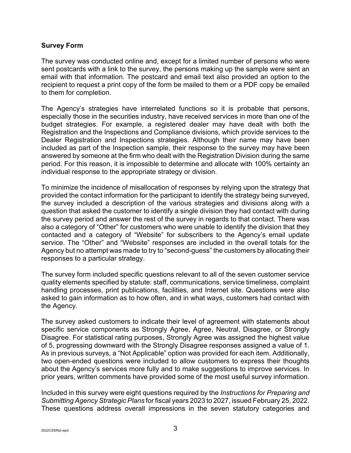### **Survey Form**

The survey was conducted online and, except for a limited number of persons who were sent postcards with a link to the survey, the persons making up the sample were sent an email with that information. The postcard and email text also provided an option to the recipient to request a print copy of the form be mailed to them or a PDF copy be emailed to them for completion.

The Agency's strategies have interrelated functions so it is probable that persons, especially those in the securities industry, have received services in more than one of the budget strategies. For example, a registered dealer may have dealt with both the Registration and the Inspections and Compliance divisions, which provide services to the Dealer Registration and Inspections strategies. Although their name may have been included as part of the Inspection sample, their response to the survey may have been answered by someone at the firm who dealt with the Registration Division during the same period. For this reason, it is impossible to determine and allocate with 100% certainty an individual response to the appropriate strategy or division.

To minimize the incidence of misallocation of responses by relying upon the strategy that provided the contact information for the participant to identify the strategy being surveyed, the survey included a description of the various strategies and divisions along with a question that asked the customer to identify a single division they had contact with during the survey period and answer the rest of the survey in regards to that contact. There was also a category of "Other" for customers who were unable to identify the division that they contacted and a category of "Website" for subscribers to the Agency's email update service. The "Other" and "Website" responses are included in the overall totals for the Agency but no attempt was made to try to "second-guess" the customers by allocating their responses to a particular strategy.

The survey form included specific questions relevant to all of the seven customer service quality elements specified by statute: staff, communications, service timeliness, complaint handling processes, print publications, facilities, and Internet site. Questions were also asked to gain information as to how often, and in what ways, customers had contact with the Agency.

The survey asked customers to indicate their level of agreement with statements about specific service components as Strongly Agree, Agree, Neutral, Disagree, or Strongly Disagree. For statistical rating purposes, Strongly Agree was assigned the highest value of 5, progressing downward with the Strongly Disagree responses assigned a value of 1. As in previous surveys, a "Not Applicable" option was provided for each item. Additionally, two open-ended questions were included to allow customers to express their thoughts about the Agency's services more fully and to make suggestions to improve services. In prior years, written comments have provided some of the most useful survey information.

Included in this survey were eight questions required by the *Instructions for Preparing and Submitting Agency Strategic Plans* for fiscal years 2023 to 2027, issued February 25, 2022. These questions address overall impressions in the seven statutory categories and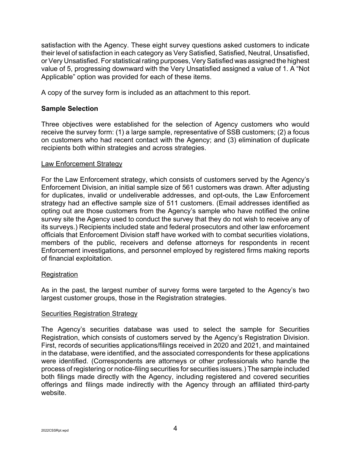satisfaction with the Agency. These eight survey questions asked customers to indicate their level of satisfaction in each category as Very Satisfied, Satisfied, Neutral, Unsatisfied, or Very Unsatisfied. For statistical rating purposes, Very Satisfied was assigned the highest value of 5, progressing downward with the Very Unsatisfied assigned a value of 1. A "Not Applicable" option was provided for each of these items.

A copy of the survey form is included as an attachment to this report.

# **Sample Selection**

Three objectives were established for the selection of Agency customers who would receive the survey form: (1) a large sample, representative of SSB customers; (2) a focus on customers who had recent contact with the Agency; and (3) elimination of duplicate recipients both within strategies and across strategies.

### Law Enforcement Strategy

For the Law Enforcement strategy, which consists of customers served by the Agency's Enforcement Division, an initial sample size of 561 customers was drawn. After adjusting for duplicates, invalid or undeliverable addresses, and opt-outs, the Law Enforcement strategy had an effective sample size of 511 customers. (Email addresses identified as opting out are those customers from the Agency's sample who have notified the online survey site the Agency used to conduct the survey that they do not wish to receive any of its surveys.) Recipients included state and federal prosecutors and other law enforcement officials that Enforcement Division staff have worked with to combat securities violations, members of the public, receivers and defense attorneys for respondents in recent Enforcement investigations, and personnel employed by registered firms making reports of financial exploitation.

# Registration

As in the past, the largest number of survey forms were targeted to the Agency's two largest customer groups, those in the Registration strategies.

# **Securities Registration Strategy**

The Agency's securities database was used to select the sample for Securities Registration, which consists of customers served by the Agency's Registration Division. First, records of securities applications/filings received in 2020 and 2021, and maintained in the database, were identified, and the associated correspondents for these applications were identified. (Correspondents are attorneys or other professionals who handle the process of registering or notice-filing securities for securities issuers.) The sample included both filings made directly with the Agency, including registered and covered securities offerings and filings made indirectly with the Agency through an affiliated third-party website.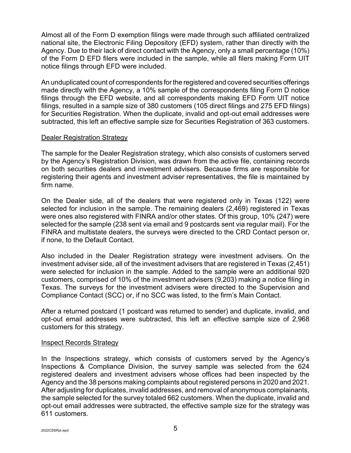Almost all of the Form D exemption filings were made through such affiliated centralized national site, the Electronic Filing Depository (EFD) system, rather than directly with the Agency. Due to their lack of direct contact with the Agency, only a small percentage (10%) of the Form D EFD filers were included in the sample, while all filers making Form UIT notice filings through EFD were included.

An unduplicated count of correspondents for the registered and covered securities offerings made directly with the Agency, a 10% sample of the correspondents filing Form D notice filings through the EFD website, and all correspondents making EFD Form UIT notice filings, resulted in a sample size of 380 customers (105 direct filings and 275 EFD filings) for Securities Registration. When the duplicate, invalid and opt-out email addresses were subtracted, this left an effective sample size for Securities Registration of 363 customers.

### Dealer Registration Strategy

The sample for the Dealer Registration strategy, which also consists of customers served by the Agency's Registration Division, was drawn from the active file, containing records on both securities dealers and investment advisers. Because firms are responsible for registering their agents and investment adviser representatives, the file is maintained by firm name.

On the Dealer side, all of the dealers that were registered only in Texas (122) were selected for inclusion in the sample. The remaining dealers (2,469) registered in Texas were ones also registered with FINRA and/or other states. Of this group, 10% (247) were selected for the sample (238 sent via email and 9 postcards sent via regular mail). For the FINRA and multistate dealers, the surveys were directed to the CRD Contact person or, if none, to the Default Contact.

Also included in the Dealer Registration strategy were investment advisers. On the investment adviser side, all of the investment advisers that are registered in Texas (2,451) were selected for inclusion in the sample. Added to the sample were an additional 920 customers, comprised of 10% of the investment advisers (9,203) making a notice filing in Texas. The surveys for the investment advisers were directed to the Supervision and Compliance Contact (SCC) or, if no SCC was listed, to the firm's Main Contact.

After a returned postcard (1 postcard was returned to sender) and duplicate, invalid, and opt-out email addresses were subtracted, this left an effective sample size of 2,968 customers for this strategy.

# Inspect Records Strategy

In the Inspections strategy, which consists of customers served by the Agency's Inspections & Compliance Division, the survey sample was selected from the 624 registered dealers and investment advisers whose offices had been inspected by the Agency and the 38 persons making complaints about registered persons in 2020 and 2021. After adjusting for duplicates, invalid addresses, and removal of anonymous complainants, the sample selected for the survey totaled 662 customers. When the duplicate, invalid and opt-out email addresses were subtracted, the effective sample size for the strategy was 611 customers.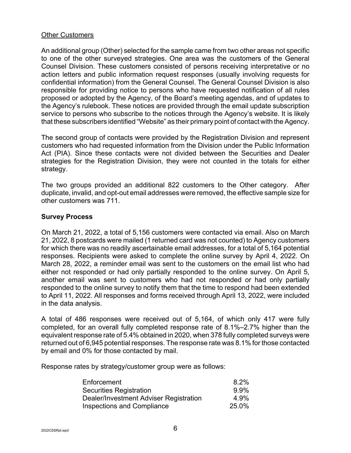### Other Customers

An additional group (Other) selected for the sample came from two other areas not specific to one of the other surveyed strategies. One area was the customers of the General Counsel Division. These customers consisted of persons receiving interpretative or no action letters and public information request responses (usually involving requests for confidential information) from the General Counsel. The General Counsel Division is also responsible for providing notice to persons who have requested notification of all rules proposed or adopted by the Agency, of the Board's meeting agendas, and of updates to the Agency's rulebook. These notices are provided through the email update subscription service to persons who subscribe to the notices through the Agency's website. It is likely that these subscribers identified "Website" as their primary point of contact with the Agency.

The second group of contacts were provided by the Registration Division and represent customers who had requested information from the Division under the Public Information Act (PIA). Since these contacts were not divided between the Securities and Dealer strategies for the Registration Division, they were not counted in the totals for either strategy.

The two groups provided an additional 822 customers to the Other category. After duplicate, invalid, and opt-out email addresses were removed, the effective sample size for other customers was 711.

### **Survey Process**

On March 21, 2022, a total of 5,156 customers were contacted via email. Also on March 21, 2022, 8 postcards were mailed (1 returned card was not counted) to Agency customers for which there was no readily ascertainable email addresses, for a total of 5,164 potential responses. Recipients were asked to complete the online survey by April 4, 2022. On March 28, 2022, a reminder email was sent to the customers on the email list who had either not responded or had only partially responded to the online survey. On April 5, another email was sent to customers who had not responded or had only partially responded to the online survey to notify them that the time to respond had been extended to April 11, 2022. All responses and forms received through April 13, 2022, were included in the data analysis.

A total of 486 responses were received out of 5,164, of which only 417 were fully completed, for an overall fully completed response rate of 8.1%–2.7% higher than the equivalent response rate of 5.4% obtained in 2020, when 378 fully completed surveys were returned out of 6,945 potential responses. The response rate was 8.1% for those contacted by email and 0% for those contacted by mail.

Response rates by strategy/customer group were as follows:

| Enforcement                            | 8.2%  |
|----------------------------------------|-------|
| Securities Registration                | 9.9%  |
| Dealer/Investment Adviser Registration | 4.9%  |
| <b>Inspections and Compliance</b>      | 25.0% |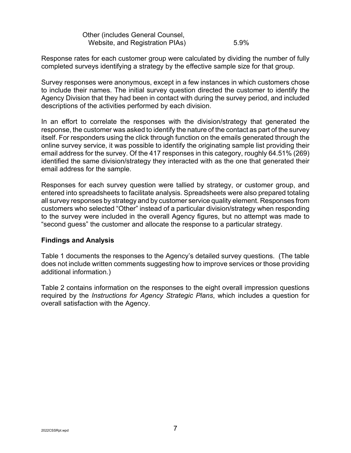| Other (includes General Counsel, |      |
|----------------------------------|------|
| Website, and Registration PIAs)  | 5.9% |

Response rates for each customer group were calculated by dividing the number of fully completed surveys identifying a strategy by the effective sample size for that group.

Survey responses were anonymous, except in a few instances in which customers chose to include their names. The initial survey question directed the customer to identify the Agency Division that they had been in contact with during the survey period, and included descriptions of the activities performed by each division.

In an effort to correlate the responses with the division/strategy that generated the response, the customer was asked to identify the nature of the contact as part of the survey itself. For responders using the click through function on the emails generated through the online survey service, it was possible to identify the originating sample list providing their email address for the survey. Of the 417 responses in this category, roughly 64.51% (269) identified the same division/strategy they interacted with as the one that generated their email address for the sample.

Responses for each survey question were tallied by strategy, or customer group, and entered into spreadsheets to facilitate analysis. Spreadsheets were also prepared totaling all survey responses by strategy and by customer service quality element. Responses from customers who selected "Other" instead of a particular division/strategy when responding to the survey were included in the overall Agency figures, but no attempt was made to "second guess" the customer and allocate the response to a particular strategy.

# **Findings and Analysis**

Table 1 documents the responses to the Agency's detailed survey questions. (The table does not include written comments suggesting how to improve services or those providing additional information.)

Table 2 contains information on the responses to the eight overall impression questions required by the *Instructions for Agency Strategic Plans*, which includes a question for overall satisfaction with the Agency.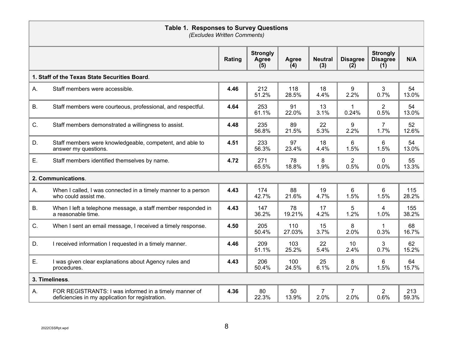|           | <b>Table 1. Responses to Survey Questions</b><br>(Excludes Written Comments)                              |        |                                 |                     |                        |                        |                                           |              |
|-----------|-----------------------------------------------------------------------------------------------------------|--------|---------------------------------|---------------------|------------------------|------------------------|-------------------------------------------|--------------|
|           |                                                                                                           | Rating | <b>Strongly</b><br>Agree<br>(5) | <b>Agree</b><br>(4) | <b>Neutral</b><br>(3)  | <b>Disagree</b><br>(2) | <b>Strongly</b><br><b>Disagree</b><br>(1) | N/A          |
|           | 1. Staff of the Texas State Securities Board.                                                             |        |                                 |                     |                        |                        |                                           |              |
| Α.        | Staff members were accessible.                                                                            | 4.46   | 212<br>51.2%                    | 118<br>28.5%        | 18<br>4.4%             | 9<br>2.2%              | 3<br>0.7%                                 | 54<br>13.0%  |
| <b>B.</b> | Staff members were courteous, professional, and respectful.                                               | 4.64   | 253<br>61.1%                    | 91<br>22.0%         | 13<br>3.1%             | 1<br>0.24%             | $\overline{2}$<br>0.5%                    | 54<br>13.0%  |
| C.        | Staff members demonstrated a willingness to assist.                                                       | 4.48   | 235<br>56.8%                    | 89<br>21.5%         | 22<br>5.3%             | 9<br>2.2%              | $\overline{7}$<br>1.7%                    | 52<br>12.6%  |
| D.        | Staff members were knowledgeable, competent, and able to<br>answer my questions.                          | 4.51   | 233<br>56.3%                    | 97<br>23.4%         | 18<br>4.4%             | 6<br>1.5%              | 6<br>1.5%                                 | 54<br>13.0%  |
| Ε.        | Staff members identified themselves by name.                                                              | 4.72   | 271<br>65.5%                    | 78<br>18.8%         | 8<br>1.9%              | $\overline{2}$<br>0.5% | 0<br>0.0%                                 | 55<br>13.3%  |
|           | 2. Communications.                                                                                        |        |                                 |                     |                        |                        |                                           |              |
| Α.        | When I called, I was connected in a timely manner to a person<br>who could assist me.                     | 4.43   | 174<br>42.7%                    | 88<br>21.6%         | 19<br>4.7%             | 6<br>1.5%              | 6<br>1.5%                                 | 115<br>28.2% |
| <b>B.</b> | When I left a telephone message, a staff member responded in<br>a reasonable time.                        | 4.43   | 147<br>36.2%                    | 78<br>19.21%        | 17<br>4.2%             | 5<br>1.2%              | 4<br>1.0%                                 | 155<br>38.2% |
| C.        | When I sent an email message, I received a timely response.                                               | 4.50   | 205<br>50.4%                    | 110<br>27.03%       | 15<br>3.7%             | 8<br>2.0%              | $\mathbf 1$<br>0.3%                       | 68<br>16.7%  |
| D.        | I received information I requested in a timely manner.                                                    | 4.46   | 209<br>51.1%                    | 103<br>25.2%        | 22<br>5.4%             | 10<br>2.4%             | 3<br>0.7%                                 | 62<br>15.2%  |
| Ε.        | I was given clear explanations about Agency rules and<br>procedures.                                      | 4.43   | 206<br>50.4%                    | 100<br>24.5%        | 25<br>6.1%             | 8<br>2.0%              | 6<br>1.5%                                 | 64<br>15.7%  |
|           | 3. Timeliness.                                                                                            |        |                                 |                     |                        |                        |                                           |              |
| Α.        | FOR REGISTRANTS: I was informed in a timely manner of<br>deficiencies in my application for registration. | 4.36   | 80<br>22.3%                     | 50<br>13.9%         | $\overline{7}$<br>2.0% | 7<br>2.0%              | $\overline{2}$<br>0.6%                    | 213<br>59.3% |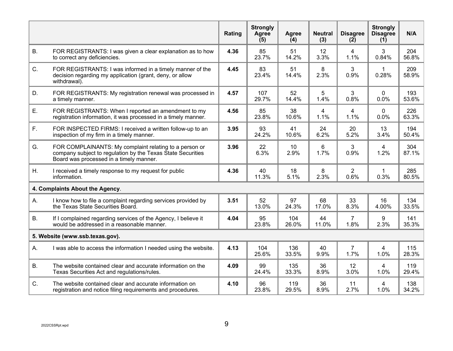|           |                                                                                                                                                                  | Rating | <b>Strongly</b><br>Agree<br>(5) | Agree<br>(4)            | <b>Neutral</b><br>(3)  | <b>Disagree</b><br>(2) | <b>Strongly</b><br><b>Disagree</b><br>(1) | N/A          |
|-----------|------------------------------------------------------------------------------------------------------------------------------------------------------------------|--------|---------------------------------|-------------------------|------------------------|------------------------|-------------------------------------------|--------------|
| <b>B.</b> | FOR REGISTRANTS: I was given a clear explanation as to how<br>to correct any deficiencies.                                                                       | 4.36   | 85<br>23.7%                     | 51<br>14.2%             | 12<br>3.3%             | 4<br>1.1%              | 3<br>0.84%                                | 204<br>56.8% |
| C.        | FOR REGISTRANTS: I was informed in a timely manner of the<br>decision regarding my application (grant, deny, or allow<br>withdrawal).                            | 4.45   | 83<br>23.4%                     | 51<br>14.4%             | 8<br>2.3%              | 3<br>0.9%              | 1<br>0.28%                                | 209<br>58.9% |
| D.        | FOR REGISTRANTS: My registration renewal was processed in<br>a timely manner.                                                                                    | 4.57   | 107<br>29.7%                    | 52<br>14.4%             | 5<br>1.4%              | 3<br>0.8%              | $\overline{0}$<br>0.0%                    | 193<br>53.6% |
| Ε.        | FOR REGISTRANTS: When I reported an amendment to my<br>registration information, it was processed in a timely manner.                                            | 4.56   | 85<br>23.8%                     | 38<br>10.6%             | $\overline{4}$<br>1.1% | 4<br>1.1%              | 0<br>0.0%                                 | 226<br>63.3% |
| F.        | FOR INSPECTED FIRMS: I received a written follow-up to an<br>inspection of my firm in a timely manner.                                                           | 3.95   | 93<br>24.2%                     | 41<br>10.6%             | 24<br>6.2%             | 20<br>5.2%             | 13<br>3.4%                                | 194<br>50.4% |
| G.        | FOR COMPLAINANTS: My complaint relating to a person or<br>company subject to regulation by the Texas State Securities<br>Board was processed in a timely manner. | 3.96   | 22<br>6.3%                      | 10 <sup>°</sup><br>2.9% | 6<br>1.7%              | 3<br>0.9%              | 4<br>1.2%                                 | 304<br>87.1% |
| Η.        | I received a timely response to my request for public<br>information.                                                                                            | 4.36   | 40<br>11.3%                     | 18<br>5.1%              | 8<br>2.3%              | $\overline{2}$<br>0.6% | $\mathbf{1}$<br>0.3%                      | 285<br>80.5% |
|           | 4. Complaints About the Agency.                                                                                                                                  |        |                                 |                         |                        |                        |                                           |              |
| Α.        | I know how to file a complaint regarding services provided by<br>the Texas State Securities Board.                                                               | 3.51   | 52<br>13.0%                     | 97<br>24.3%             | 68<br>17.0%            | 33<br>8.3%             | 16<br>4.00%                               | 134<br>33.5% |
| Β.        | If I complained regarding services of the Agency, I believe it<br>would be addressed in a reasonable manner.                                                     | 4.04   | 95<br>23.8%                     | 104<br>26.0%            | 44<br>11.0%            | 7<br>1.8%              | 9<br>2.3%                                 | 141<br>35.3% |
|           | 5. Website (www.ssb.texas.gov).                                                                                                                                  |        |                                 |                         |                        |                        |                                           |              |
| Α.        | I was able to access the information I needed using the website.                                                                                                 | 4.13   | 104<br>25.6%                    | 136<br>33.5%            | 40<br>9.9%             | 7<br>1.7%              | 4<br>1.0%                                 | 115<br>28.3% |
| <b>B.</b> | The website contained clear and accurate information on the<br>Texas Securities Act and regulations/rules.                                                       | 4.09   | 99<br>24.4%                     | 135<br>33.3%            | 36<br>8.9%             | 12<br>3.0%             | 4<br>1.0%                                 | 119<br>29.4% |
| C.        | The website contained clear and accurate information on<br>registration and notice filing requirements and procedures.                                           | 4.10   | 96<br>23.8%                     | 119<br>29.5%            | 36<br>8.9%             | 11<br>2.7%             | $\overline{4}$<br>1.0%                    | 138<br>34.2% |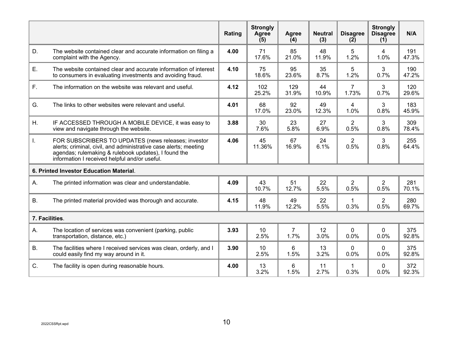|           |                                                                                                                                                                                                                                  | Rating | <b>Strongly</b><br>Agree<br>(5) | <b>Agree</b><br>(4)    | <b>Neutral</b><br>(3) | <b>Disagree</b><br>(2)  | <b>Strongly</b><br><b>Disagree</b><br>(1) | N/A          |
|-----------|----------------------------------------------------------------------------------------------------------------------------------------------------------------------------------------------------------------------------------|--------|---------------------------------|------------------------|-----------------------|-------------------------|-------------------------------------------|--------------|
| D.        | The website contained clear and accurate information on filing a<br>complaint with the Agency.                                                                                                                                   | 4.00   | 71<br>17.6%                     | 85<br>21.0%            | 48<br>11.9%           | 5<br>1.2%               | $\overline{4}$<br>1.0%                    | 191<br>47.3% |
| Ε.        | The website contained clear and accurate information of interest<br>to consumers in evaluating investments and avoiding fraud.                                                                                                   | 4.10   | 75<br>18.6%                     | 95<br>23.6%            | 35<br>8.7%            | 5<br>1.2%               | 3<br>0.7%                                 | 190<br>47.2% |
| F.        | The information on the website was relevant and useful.                                                                                                                                                                          | 4.12   | 102<br>25.2%                    | 129<br>31.9%           | 44<br>10.9%           | $\overline{7}$<br>1.73% | 3<br>0.7%                                 | 120<br>29.6% |
| G.        | The links to other websites were relevant and useful.                                                                                                                                                                            | 4.01   | 68<br>17.0%                     | 92<br>23.0%            | 49<br>12.3%           | 4<br>1.0%               | 3<br>0.8%                                 | 183<br>45.9% |
| Η.        | IF ACCESSED THROUGH A MOBILE DEVICE, it was easy to<br>view and navigate through the website.                                                                                                                                    | 3.88   | 30<br>7.6%                      | 23<br>5.8%             | 27<br>6.9%            | $\overline{2}$<br>0.5%  | 3<br>0.8%                                 | 309<br>78.4% |
| I.        | FOR SUBSCRIBERS TO UPDATES (news releases; investor<br>alerts; criminal, civil, and administrative case alerts; meeting<br>agendas; rulemaking & rulebook updates), I found the<br>information I received helpful and/or useful. | 4.06   | 45<br>11.36%                    | 67<br>16.9%            | 24<br>6.1%            | $\overline{2}$<br>0.5%  | 3<br>0.8%                                 | 255<br>64.4% |
|           | 6. Printed Investor Education Material.                                                                                                                                                                                          |        |                                 |                        |                       |                         |                                           |              |
| Α.        | The printed information was clear and understandable.                                                                                                                                                                            | 4.09   | 43<br>10.7%                     | 51<br>12.7%            | 22<br>5.5%            | $\overline{2}$<br>0.5%  | $\overline{2}$<br>0.5%                    | 281<br>70.1% |
| <b>B.</b> | The printed material provided was thorough and accurate.                                                                                                                                                                         | 4.15   | 48<br>11.9%                     | 49<br>12.2%            | 22<br>5.5%            | 1<br>0.3%               | $\overline{2}$<br>0.5%                    | 280<br>69.7% |
|           | 7. Facilities.                                                                                                                                                                                                                   |        |                                 |                        |                       |                         |                                           |              |
| Α.        | The location of services was convenient (parking, public<br>transportation, distance, etc.)                                                                                                                                      | 3.93   | 10<br>2.5%                      | $\overline{7}$<br>1.7% | 12<br>3.0%            | $\mathbf 0$<br>0.0%     | $\mathbf{0}$<br>0.0%                      | 375<br>92.8% |
| <b>B.</b> | The facilities where I received services was clean, orderly, and I<br>could easily find my way around in it.                                                                                                                     | 3.90   | 10<br>2.5%                      | 6<br>1.5%              | 13<br>3.2%            | 0<br>0.0%               | 0<br>0.0%                                 | 375<br>92.8% |
| C.        | The facility is open during reasonable hours.                                                                                                                                                                                    | 4.00   | 13<br>3.2%                      | 6<br>1.5%              | 11<br>2.7%            | 1<br>0.3%               | 0<br>0.0%                                 | 372<br>92.3% |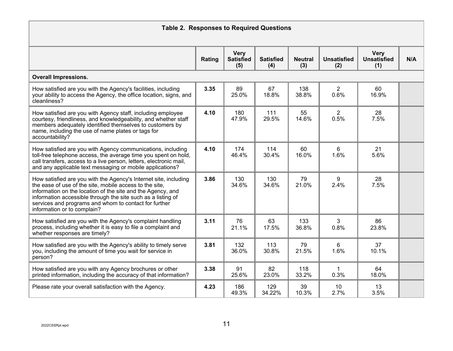| <b>Table 2. Responses to Required Questions</b>                                                                                                                                                                                                                                                                                                    |        |                                        |                         |                       |                           |                                          |     |
|----------------------------------------------------------------------------------------------------------------------------------------------------------------------------------------------------------------------------------------------------------------------------------------------------------------------------------------------------|--------|----------------------------------------|-------------------------|-----------------------|---------------------------|------------------------------------------|-----|
|                                                                                                                                                                                                                                                                                                                                                    | Rating | <b>Very</b><br><b>Satisfied</b><br>(5) | <b>Satisfied</b><br>(4) | <b>Neutral</b><br>(3) | <b>Unsatisfied</b><br>(2) | <b>Very</b><br><b>Unsatisfied</b><br>(1) | N/A |
| <b>Overall Impressions.</b>                                                                                                                                                                                                                                                                                                                        |        |                                        |                         |                       |                           |                                          |     |
| How satisfied are you with the Agency's facilities, including<br>your ability to access the Agency, the office location, signs, and<br>cleanliness?                                                                                                                                                                                                | 3.35   | 89<br>25.0%                            | 67<br>18.8%             | 138<br>38.8%          | $\overline{2}$<br>0.6%    | 60<br>16.9%                              |     |
| How satisfied are you with Agency staff, including employee<br>courtesy, friendliness, and knowledgeability, and whether staff<br>members adequately identified themselves to customers by<br>name, including the use of name plates or tags for<br>accountability?                                                                                | 4.10   | 180<br>47.9%                           | 111<br>29.5%            | 55<br>14.6%           | $\overline{2}$<br>0.5%    | 28<br>7.5%                               |     |
| How satisfied are you with Agency communications, including<br>toll-free telephone access, the average time you spent on hold,<br>call transfers, access to a live person, letters, electronic mail,<br>and any applicable text messaging or mobile applications?                                                                                  | 4.10   | 174<br>46.4%                           | 114<br>30.4%            | 60<br>16.0%           | 6<br>1.6%                 | 21<br>5.6%                               |     |
| How satisfied are you with the Agency's Internet site, including<br>the ease of use of the site, mobile access to the site,<br>information on the location of the site and the Agency, and<br>information accessible through the site such as a listing of<br>services and programs and whom to contact for further<br>information or to complain? | 3.86   | 130<br>34.6%                           | 130<br>34.6%            | 79<br>21.0%           | 9<br>2.4%                 | 28<br>7.5%                               |     |
| How satisfied are you with the Agency's complaint handling<br>process, including whether it is easy to file a complaint and<br>whether responses are timely?                                                                                                                                                                                       | 3.11   | 76<br>21.1%                            | 63<br>17.5%             | 133<br>36.8%          | 3<br>0.8%                 | 86<br>23.8%                              |     |
| How satisfied are you with the Agency's ability to timely serve<br>you, including the amount of time you wait for service in<br>person?                                                                                                                                                                                                            | 3.81   | 132<br>36.0%                           | 113<br>30.8%            | 79<br>21.5%           | 6<br>1.6%                 | 37<br>10.1%                              |     |
| How satisfied are you with any Agency brochures or other<br>printed information, including the accuracy of that information?                                                                                                                                                                                                                       | 3.38   | 91<br>25.6%                            | 82<br>23.0%             | 118<br>33.2%          | $\mathbf 1$<br>0.3%       | 64<br>18.0%                              |     |
| Please rate your overall satisfaction with the Agency.                                                                                                                                                                                                                                                                                             | 4.23   | 186<br>49.3%                           | 129<br>34.22%           | 39<br>10.3%           | 10<br>2.7%                | 13<br>3.5%                               |     |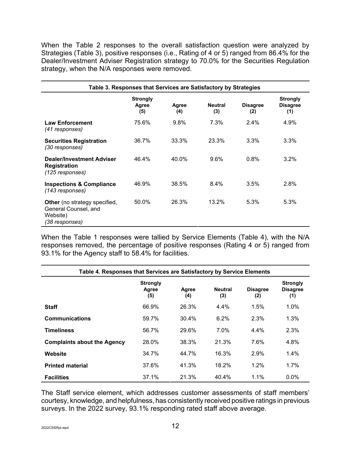When the Table 2 responses to the overall satisfaction question were analyzed by Strategies (Table 3), positive responses (i.e., Rating of 4 or 5) ranged from 86.4% for the Dealer/Investment Adviser Registration strategy to 70.0% for the Securities Regulation strategy, when the N/A responses were removed.

|                                                                                            | Table 3. Responses that Services are Satisfactory by Strategies |              |                       |                        |                                           |
|--------------------------------------------------------------------------------------------|-----------------------------------------------------------------|--------------|-----------------------|------------------------|-------------------------------------------|
|                                                                                            | <b>Strongly</b><br>Agree<br>(5)                                 | Agree<br>(4) | <b>Neutral</b><br>(3) | <b>Disagree</b><br>(2) | <b>Strongly</b><br><b>Disagree</b><br>(1) |
| <b>Law Enforcement</b><br>(41 responses)                                                   | 75.6%                                                           | 9.8%         | 7.3%                  | $2.4\%$                | 4.9%                                      |
| <b>Securities Registration</b><br>(30 responses)                                           | 36.7%                                                           | 33.3%        | 23.3%                 | $3.3\%$                | $3.3\%$                                   |
| <b>Dealer/Investment Adviser</b><br><b>Registration</b><br>(125 responses)                 | 46.4%                                                           | 40.0%        | 9.6%                  | $0.8\%$                | $3.2\%$                                   |
| <b>Inspections &amp; Compliance</b><br>(143 responses)                                     | 46.9%                                                           | 38.5%        | 8.4%                  | 3.5%                   | 2.8%                                      |
| <b>Other</b> (no strategy specified,<br>General Counsel, and<br>Website)<br>(38 responses) | 50.0%                                                           | 26.3%        | 13.2%                 | 5.3%                   | 5.3%                                      |

When the Table 1 responses were tallied by Service Elements (Table 4), with the N/A responses removed, the percentage of positive responses (Rating 4 or 5) ranged from 93.1% for the Agency staff to 58.4% for facilities.

| Table 4. Responses that Services are Satisfactory by Service Elements |                                 |              |                       |                        |                                           |
|-----------------------------------------------------------------------|---------------------------------|--------------|-----------------------|------------------------|-------------------------------------------|
|                                                                       | <b>Strongly</b><br>Agree<br>(5) | Agree<br>(4) | <b>Neutral</b><br>(3) | <b>Disagree</b><br>(2) | <b>Strongly</b><br><b>Disagree</b><br>(1) |
| <b>Staff</b>                                                          | 66.9%                           | 26.3%        | $4.4\%$               | 1.5%                   | 1.0%                                      |
| <b>Communications</b>                                                 | 59.7%                           | 30.4%        | 6.2%                  | 2.3%                   | 1.3%                                      |
| <b>Timeliness</b>                                                     | 56.7%                           | 29.6%        | 7.0%                  | 4.4%                   | 2.3%                                      |
| <b>Complaints about the Agency</b>                                    | 28.0%                           | 38.3%        | 21.3%                 | 7.6%                   | 4.8%                                      |
| Website                                                               | 34.7%                           | 44.7%        | 16.3%                 | 2.9%                   | 1.4%                                      |
| <b>Printed material</b>                                               | 37.6%                           | 41.3%        | 18.2%                 | 1.2%                   | 1.7%                                      |
| <b>Facilities</b>                                                     | 37.1%                           | 21.3%        | 40.4%                 | 1.1%                   | $0.0\%$                                   |

The Staff service element, which addresses customer assessments of staff members' courtesy, knowledge, and helpfulness, has consistently received positive ratings in previous surveys. In the 2022 survey, 93.1% responding rated staff above average.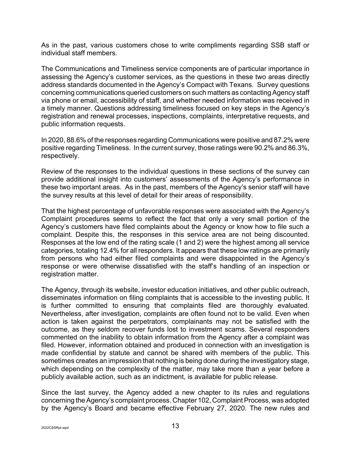As in the past, various customers chose to write compliments regarding SSB staff or individual staff members.

The Communications and Timeliness service components are of particular importance in assessing the Agency's customer services, as the questions in these two areas directly address standards documented in the Agency's Compact with Texans. Survey questions concerning communications queried customers on such matters as contacting Agency staff via phone or email, accessibility of staff, and whether needed information was received in a timely manner. Questions addressing timeliness focused on key steps in the Agency's registration and renewal processes, inspections, complaints, interpretative requests, and public information requests.

In 2020, 88.6% of the responses regarding Communications were positive and 87.2% were positive regarding Timeliness. In the current survey, those ratings were 90.2% and 86.3%, respectively.

Review of the responses to the individual questions in these sections of the survey can provide additional insight into customers' assessments of the Agency's performance in these two important areas. As in the past, members of the Agency's senior staff will have the survey results at this level of detail for their areas of responsibility.

That the highest percentage of unfavorable responses were associated with the Agency's Complaint procedures seems to reflect the fact that only a very small portion of the Agency's customers have filed complaints about the Agency or know how to file such a complaint. Despite this, the responses in this service area are not being discounted. Responses at the low end of the rating scale (1 and 2) were the highest among all service categories, totaling 12.4% for all responders. It appears that these low ratings are primarily from persons who had either filed complaints and were disappointed in the Agency's response or were otherwise dissatisfied with the staff's handling of an inspection or registration matter.

The Agency, through its website, investor education initiatives, and other public outreach, disseminates information on filing complaints that is accessible to the investing public. It is further committed to ensuring that complaints filed are thoroughly evaluated. Nevertheless, after investigation, complaints are often found not to be valid. Even when action is taken against the perpetrators, complainants may not be satisfied with the outcome, as they seldom recover funds lost to investment scams. Several responders commented on the inability to obtain information from the Agency after a complaint was filed. However, information obtained and produced in connection with an investigation is made confidential by statute and cannot be shared with members of the public. This sometimes creates an impression that nothing is being done during the investigatory stage, which depending on the complexity of the matter, may take more than a year before a publicly available action, such as an indictment, is available for public release.

Since the last survey, the Agency added a new chapter to its rules and regulations concerning the Agency's complaint process. Chapter 102, Complaint Process, was adopted by the Agency's Board and became effective February 27, 2020. The new rules and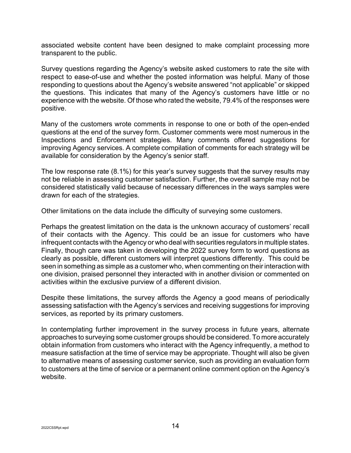associated website content have been designed to make complaint processing more transparent to the public.

Survey questions regarding the Agency's website asked customers to rate the site with respect to ease-of-use and whether the posted information was helpful. Many of those responding to questions about the Agency's website answered "not applicable" or skipped the questions. This indicates that many of the Agency's customers have little or no experience with the website. Of those who rated the website, 79.4% of the responses were positive.

Many of the customers wrote comments in response to one or both of the open-ended questions at the end of the survey form. Customer comments were most numerous in the Inspections and Enforcement strategies. Many comments offered suggestions for improving Agency services. A complete compilation of comments for each strategy will be available for consideration by the Agency's senior staff.

The low response rate (8.1%) for this year's survey suggests that the survey results may not be reliable in assessing customer satisfaction. Further, the overall sample may not be considered statistically valid because of necessary differences in the ways samples were drawn for each of the strategies.

Other limitations on the data include the difficulty of surveying some customers.

Perhaps the greatest limitation on the data is the unknown accuracy of customers' recall of their contacts with the Agency. This could be an issue for customers who have infrequent contacts with the Agency or who deal with securities regulators in multiple states. Finally, though care was taken in developing the 2022 survey form to word questions as clearly as possible, different customers will interpret questions differently. This could be seen in something as simple as a customer who, when commenting on their interaction with one division, praised personnel they interacted with in another division or commented on activities within the exclusive purview of a different division.

Despite these limitations, the survey affords the Agency a good means of periodically assessing satisfaction with the Agency's services and receiving suggestions for improving services, as reported by its primary customers.

In contemplating further improvement in the survey process in future years, alternate approaches to surveying some customer groups should be considered. To more accurately obtain information from customers who interact with the Agency infrequently, a method to measure satisfaction at the time of service may be appropriate. Thought will also be given to alternative means of assessing customer service, such as providing an evaluation form to customers at the time of service or a permanent online comment option on the Agency's website.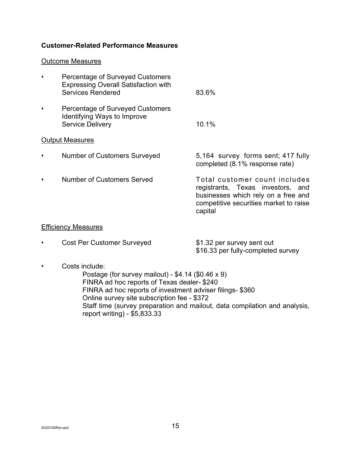# **Customer-Related Performance Measures**

#### Outcome Measures

| <b>Percentage of Surveyed Customers</b><br><b>Expressing Overall Satisfaction with</b><br><b>Services Rendered</b> | 83.6%                                                                                                                                                          |
|--------------------------------------------------------------------------------------------------------------------|----------------------------------------------------------------------------------------------------------------------------------------------------------------|
| <b>Percentage of Surveyed Customers</b><br>Identifying Ways to Improve<br><b>Service Delivery</b>                  | 10.1%                                                                                                                                                          |
| <b>Output Measures</b>                                                                                             |                                                                                                                                                                |
| <b>Number of Customers Surveyed</b>                                                                                | 5,164 survey forms sent; 417 fully<br>completed (8.1% response rate)                                                                                           |
| <b>Number of Customers Served</b>                                                                                  | Total customer count includes<br>registrants, Texas investors, and<br>businesses which rely on a free and<br>competitive securities market to raise<br>capital |
| <b>Efficiency Measures</b>                                                                                         |                                                                                                                                                                |

| <b>Cost Per Customer Surveyed</b> | \$1.32 per survey sent out         |
|-----------------------------------|------------------------------------|
|                                   | \$16.33 per fully-completed survey |

• Costs include:

Postage (for survey mailout) - \$4.14 (\$0.46 x 9) FINRA ad hoc reports of Texas dealer- \$240 FINRA ad hoc reports of investment adviser filings- \$360 Online survey site subscription fee - \$372 Staff time (survey preparation and mailout, data compilation and analysis, report writing) - \$5,833.33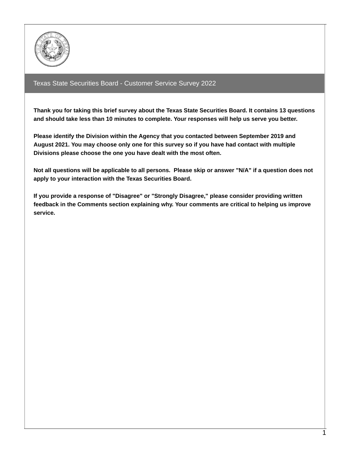

# Texas State Securities Board - Customer Service Survey 2022

**Thank you for taking this brief survey about the Texas State Securities Board. It contains 13 questions and should take less than 10 minutes to complete. Your responses will help us serve you better.**

**Please identify the Division within the Agency that you contacted between September 2019 and August 2021. You may choose only one for this survey so if you have had contact with multiple Divisions please choose the one you have dealt with the most often.**

Not all questions will be applicable to all persons. Please skip or answer "N/A" if a question does not **apply to your interaction with the Texas Securities Board.**

**If you provide a response of "Disagree" or "Strongly Disagree," please consider providing written feedback in the Comments section explaining why. Your comments are critical to helping us improve service.**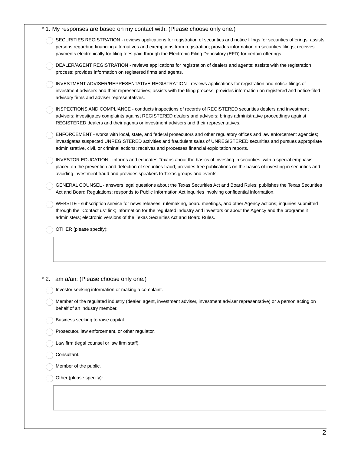| * 1. My responses are based on my contact with: (Please choose only one.)                                                                                                                                                                                                                                                                                                                   |
|---------------------------------------------------------------------------------------------------------------------------------------------------------------------------------------------------------------------------------------------------------------------------------------------------------------------------------------------------------------------------------------------|
| SECURITIES REGISTRATION - reviews applications for registration of securities and notice filings for securities offerings; assists<br>persons regarding financing alternatives and exemptions from registration; provides information on securities filings; receives<br>payments electronically for filing fees paid through the Electronic Filing Depository (EFD) for certain offerings. |
| DEALER/AGENT REGISTRATION - reviews applications for registration of dealers and agents; assists with the registration<br>process; provides information on registered firms and agents.                                                                                                                                                                                                     |
| INVESTMENT ADVISER/REPRESENTATIVE REGISTRATION - reviews applications for registration and notice filings of<br>investment advisers and their representatives; assists with the filing process; provides information on registered and notice-filed<br>advisory firms and adviser representatives.                                                                                          |
| INSPECTIONS AND COMPLIANCE - conducts inspections of records of REGISTERED securities dealers and investment<br>advisers; investigates complaints against REGISTERED dealers and advisers; brings administrative proceedings against<br>REGISTERED dealers and their agents or investment advisers and their representatives.                                                               |
| ENFORCEMENT - works with local, state, and federal prosecutors and other regulatory offices and law enforcement agencies;<br>investigates suspected UNREGISTERED activities and fraudulent sales of UNREGISTERED securities and pursues appropriate<br>administrative, civil, or criminal actions; receives and processes financial exploitation reports.                                   |
| INVESTOR EDUCATION - informs and educates Texans about the basics of investing in securities, with a special emphasis<br>placed on the prevention and detection of securities fraud; provides free publications on the basics of investing in securities and<br>avoiding investment fraud and provides speakers to Texas groups and events.                                                 |
| GENERAL COUNSEL - answers legal questions about the Texas Securities Act and Board Rules; publishes the Texas Securities<br>Act and Board Regulations; responds to Public Information Act inquiries involving confidential information.                                                                                                                                                     |
| WEBSITE - subscription service for news releases, rulemaking, board meetings, and other Agency actions; inquiries submitted<br>through the "Contact us" link; information for the regulated industry and investors or about the Agency and the programs it<br>administers; electronic versions of the Texas Securities Act and Board Rules.                                                 |
| OTHER (please specify):                                                                                                                                                                                                                                                                                                                                                                     |
|                                                                                                                                                                                                                                                                                                                                                                                             |
|                                                                                                                                                                                                                                                                                                                                                                                             |
|                                                                                                                                                                                                                                                                                                                                                                                             |

#### \* 2. I am a/an: (Please choose only one.)

Investor seeking information or making a complaint.

Member of the regulated industry (dealer, agent, investment adviser, investment adviser representative) or a person acting on behalf of an industry member.

Business seeking to raise capital.

Prosecutor, law enforcement, or other regulator.  $\bigcap$ 

Law firm (legal counsel or law firm staff).  $\bigcap$ 

Consultant.

Member of the public.

Other (please specify):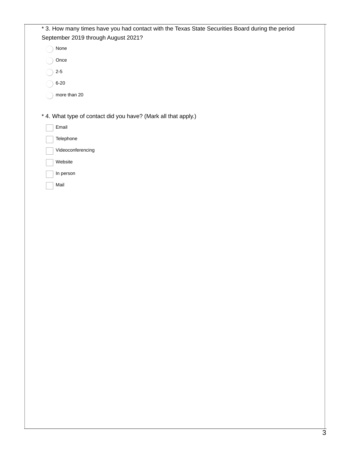| * 3. How many times have you had contact with the Texas State Securities Board during the period<br>September 2019 through August 2021? |
|-----------------------------------------------------------------------------------------------------------------------------------------|
| None                                                                                                                                    |
| Once                                                                                                                                    |
| $2-5$                                                                                                                                   |
| $6 - 20$                                                                                                                                |
| more than 20                                                                                                                            |
|                                                                                                                                         |
| * 4. What type of contact did you have? (Mark all that apply.)                                                                          |
| Email                                                                                                                                   |
| Telephone                                                                                                                               |
| Videoconferencing                                                                                                                       |
| Website                                                                                                                                 |
| In person                                                                                                                               |
| Mail                                                                                                                                    |
|                                                                                                                                         |
|                                                                                                                                         |
|                                                                                                                                         |
|                                                                                                                                         |
|                                                                                                                                         |
|                                                                                                                                         |
|                                                                                                                                         |
|                                                                                                                                         |
|                                                                                                                                         |
|                                                                                                                                         |
|                                                                                                                                         |
|                                                                                                                                         |
|                                                                                                                                         |
|                                                                                                                                         |
|                                                                                                                                         |
|                                                                                                                                         |
|                                                                                                                                         |
|                                                                                                                                         |
|                                                                                                                                         |
|                                                                                                                                         |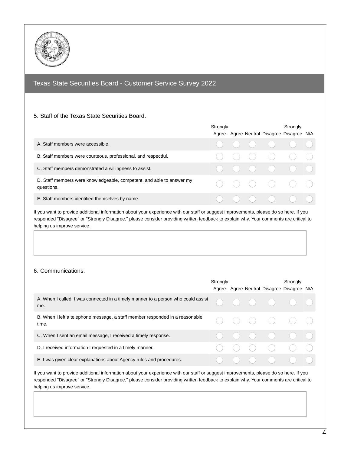

# Texas State Securities Board - Customer Service Survey 2022

#### 5. Staff of the Texas State Securities Board.

|                                                                                     | Strongly |  | Strongly<br>Agree Agree Neutral Disagree Disagree N/A                                                        |  |
|-------------------------------------------------------------------------------------|----------|--|--------------------------------------------------------------------------------------------------------------|--|
| A. Staff members were accessible.                                                   |          |  | $\begin{array}{ccccccccccccccccc} \circ & \circ & \circ & \circ & \circ & \circ & \circ & \circ \end{array}$ |  |
| B. Staff members were courteous, professional, and respectful.                      |          |  | $\begin{array}{ccc} \circ & \circ & \circ & \circ & \circ \end{array}$                                       |  |
| C. Staff members demonstrated a willingness to assist.                              |          |  | $\begin{array}{ccccccccc}\n0 & 0 & 0 & 0 & 0 & 0\n\end{array}$                                               |  |
| D. Staff members were knowledgeable, competent, and able to answer my<br>questions. |          |  |                                                                                                              |  |
| E. Staff members identified themselves by name.                                     |          |  | $\begin{array}{ccc} \circ & \circ & \circ & \circ & \circ & \circ \end{array}$                               |  |

If you want to provide additional information about your experience with our staff or suggest improvements, please do so here. If you responded "Disagree" or "Strongly Disagree," please consider providing written feedback to explain why. Your comments are critical to helping us improve service.

#### 6. Communications.

|                                                                                          | Strongly |   |  | Strongly<br>Agree Agree Neutral Disagree Disagree N/A                                                                  |  |
|------------------------------------------------------------------------------------------|----------|---|--|------------------------------------------------------------------------------------------------------------------------|--|
| A. When I called, I was connected in a timely manner to a person who could assist<br>me. |          |   |  | $\begin{array}{ccccccccccccccccc} \circ & \circ & \circ & \circ & \circ & \circ & \circ & \circ \end{array}$           |  |
| B. When I left a telephone message, a staff member responded in a reasonable<br>time.    |          |   |  | $\begin{array}{ccccccccc}\n0 & 0 & 0 & 0 & 0\n\end{array}$                                                             |  |
| C. When I sent an email message, I received a timely response.                           |          |   |  | $\begin{array}{ccccccccc}\n\bullet & \bullet & \bullet & \bullet & \bullet & \bullet & \bullet & \bullet\n\end{array}$ |  |
| D. I received information I requested in a timely manner.                                |          | ( |  | $\begin{array}{ccc} & \circ & \circ & \circ & \circ \end{array}$                                                       |  |
| E. I was given clear explanations about Agency rules and procedures.                     |          |   |  |                                                                                                                        |  |

If you want to provide additional information about your experience with our staff or suggest improvements, please do so here. If you responded "Disagree" or "Strongly Disagree," please consider providing written feedback to explain why. Your comments are critical to helping us improve service.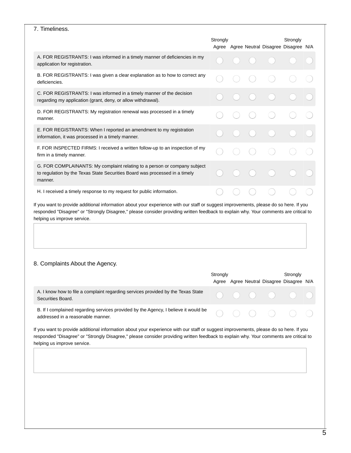|                                                                                                                                                                                                                                                                                                                                                         | Strongly |  | Strongly<br>Agree Agree Neutral Disagree Disagree N/A |  |
|---------------------------------------------------------------------------------------------------------------------------------------------------------------------------------------------------------------------------------------------------------------------------------------------------------------------------------------------------------|----------|--|-------------------------------------------------------|--|
| A. FOR REGISTRANTS: I was informed in a timely manner of deficiencies in my<br>application for registration.                                                                                                                                                                                                                                            |          |  |                                                       |  |
| B. FOR REGISTRANTS: I was given a clear explanation as to how to correct any<br>deficiencies.                                                                                                                                                                                                                                                           |          |  |                                                       |  |
| C. FOR REGISTRANTS: I was informed in a timely manner of the decision<br>regarding my application (grant, deny, or allow withdrawal).                                                                                                                                                                                                                   |          |  |                                                       |  |
| D. FOR REGISTRANTS: My registration renewal was processed in a timely<br>manner.                                                                                                                                                                                                                                                                        |          |  |                                                       |  |
| E. FOR REGISTRANTS: When I reported an amendment to my registration<br>information, it was processed in a timely manner.                                                                                                                                                                                                                                |          |  |                                                       |  |
| F. FOR INSPECTED FIRMS: I received a written follow-up to an inspection of my<br>firm in a timely manner.                                                                                                                                                                                                                                               |          |  |                                                       |  |
| G. FOR COMPLAINANTS: My complaint relating to a person or company subject<br>to regulation by the Texas State Securities Board was processed in a timely<br>manner.                                                                                                                                                                                     |          |  |                                                       |  |
|                                                                                                                                                                                                                                                                                                                                                         |          |  |                                                       |  |
| H. I received a timely response to my request for public information.<br>If you want to provide additional information about your experience with our staff or suggest improvements, please do so here. If you<br>responded "Disagree" or "Strongly Disagree," please consider providing written feedback to explain why. Your comments are critical to |          |  |                                                       |  |
| helping us improve service.                                                                                                                                                                                                                                                                                                                             |          |  |                                                       |  |
|                                                                                                                                                                                                                                                                                                                                                         | Strongly |  | Strongly                                              |  |
| 8. Complaints About the Agency.<br>A. I know how to file a complaint regarding services provided by the Texas State<br>Securities Board.                                                                                                                                                                                                                |          |  | Agree Agree Neutral Disagree Disagree N/A             |  |
| B. If I complained regarding services provided by the Agency, I believe it would be<br>addressed in a reasonable manner.                                                                                                                                                                                                                                |          |  |                                                       |  |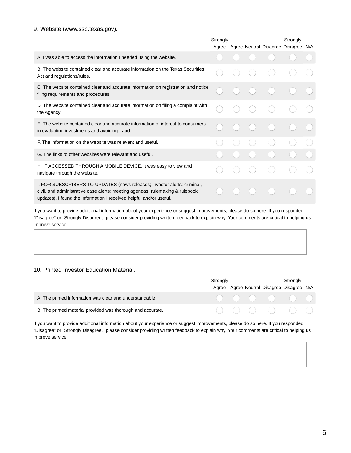#### 9. Website (www.ssb.texas.gov).

|                                                                                                                                                                                                                                  | Strongly |  | Strongly<br>Agree Agree Neutral Disagree Disagree N/A |  |
|----------------------------------------------------------------------------------------------------------------------------------------------------------------------------------------------------------------------------------|----------|--|-------------------------------------------------------|--|
| A. I was able to access the information I needed using the website.                                                                                                                                                              |          |  |                                                       |  |
| B. The website contained clear and accurate information on the Texas Securities<br>Act and regulations/rules.                                                                                                                    |          |  |                                                       |  |
| C. The website contained clear and accurate information on registration and notice<br>filing requirements and procedures.                                                                                                        |          |  |                                                       |  |
| D. The website contained clear and accurate information on filing a complaint with<br>the Agency.                                                                                                                                |          |  |                                                       |  |
| E. The website contained clear and accurate information of interest to consumers<br>in evaluating investments and avoiding fraud.                                                                                                |          |  |                                                       |  |
| F. The information on the website was relevant and useful.                                                                                                                                                                       |          |  |                                                       |  |
| G. The links to other websites were relevant and useful.                                                                                                                                                                         |          |  |                                                       |  |
| H. IF ACCESSED THROUGH A MOBILE DEVICE, it was easy to view and<br>navigate through the website.                                                                                                                                 |          |  |                                                       |  |
| I. FOR SUBSCRIBERS TO UPDATES (news releases; investor alerts; criminal,<br>civil, and administrative case alerts; meeting agendas; rulemaking & rulebook<br>updates). I found the information I received helpful and/or useful. |          |  |                                                       |  |

If you want to provide additional information about your experience or suggest improvements, please do so here. If you responded "Disagree" or "Strongly Disagree," please consider providing written feedback to explain why. Your comments are critical to helping us improve service.

#### 10. Printed Investor Education Material.

|                                                             | Strongly |  | Strongly                                                                                                     |  |
|-------------------------------------------------------------|----------|--|--------------------------------------------------------------------------------------------------------------|--|
|                                                             |          |  | Agree Agree Neutral Disagree Disagree N/A                                                                    |  |
| A. The printed information was clear and understandable.    |          |  | $\begin{array}{ccccccccccccccccc} \circ & \circ & \circ & \circ & \circ & \circ & \circ & \circ \end{array}$ |  |
| B. The printed material provided was thorough and accurate. |          |  | $\begin{array}{ccccccccccccccccc} \circ & \circ & \circ & \circ & \circ & \circ & \circ & \circ \end{array}$ |  |

If you want to provide additional information about your experience or suggest improvements, please do so here. If you responded "Disagree" or "Strongly Disagree," please consider providing written feedback to explain why. Your comments are critical to helping us improve service.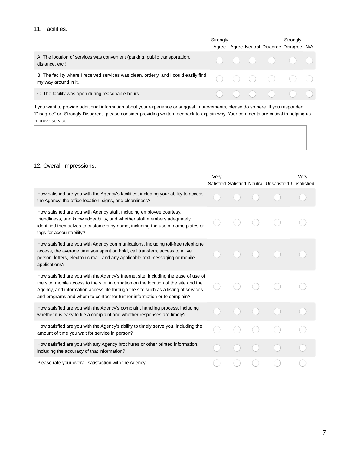#### 11. Facilities.

|                                                                                                               | Strongly |  | Strongly<br>Agree Agree Neutral Disagree Disagree N/A |  |
|---------------------------------------------------------------------------------------------------------------|----------|--|-------------------------------------------------------|--|
| A. The location of services was convenient (parking, public transportation,<br>distance, etc.).               |          |  |                                                       |  |
| B. The facility where I received services was clean, orderly, and I could easily find<br>my way around in it. |          |  |                                                       |  |
| C. The facility was open during reasonable hours.                                                             |          |  | $( ) ( ) ( ) ( ) ( ) ( ) ( ) ( ) ( )$                 |  |

If you want to provide additional information about your experience or suggest improvements, please do so here. If you responded "Disagree" or "Strongly Disagree," please consider providing written feedback to explain why. Your comments are critical to helping us improve service.

### 12. Overall Impressions.

|                                                                                                                                                                                                                                                                                                                                              | Very |  | Satisfied Satisfied Neutral Unsatisfied Unsatisfied | Very |
|----------------------------------------------------------------------------------------------------------------------------------------------------------------------------------------------------------------------------------------------------------------------------------------------------------------------------------------------|------|--|-----------------------------------------------------|------|
| How satisfied are you with the Agency's facilities, including your ability to access<br>the Agency, the office location, signs, and cleanliness?                                                                                                                                                                                             |      |  |                                                     |      |
| How satisfied are you with Agency staff, including employee courtesy,<br>friendliness, and knowledgeability, and whether staff members adequately<br>identified themselves to customers by name, including the use of name plates or<br>tags for accountability?                                                                             |      |  |                                                     |      |
| How satisfied are you with Agency communications, including toll-free telephone<br>access, the average time you spent on hold, call transfers, access to a live<br>person, letters, electronic mail, and any applicable text messaging or mobile<br>applications?                                                                            |      |  |                                                     |      |
| How satisfied are you with the Agency's Internet site, including the ease of use of<br>the site, mobile access to the site, information on the location of the site and the<br>Agency, and information accessible through the site such as a listing of services<br>and programs and whom to contact for further information or to complain? |      |  |                                                     |      |
| How satisfied are you with the Agency's complaint handling process, including<br>whether it is easy to file a complaint and whether responses are timely?                                                                                                                                                                                    |      |  |                                                     |      |
| How satisfied are you with the Agency's ability to timely serve you, including the<br>amount of time you wait for service in person?                                                                                                                                                                                                         |      |  |                                                     |      |
| How satisfied are you with any Agency brochures or other printed information,<br>including the accuracy of that information?                                                                                                                                                                                                                 |      |  |                                                     |      |
| Please rate your overall satisfaction with the Agency.                                                                                                                                                                                                                                                                                       |      |  |                                                     |      |